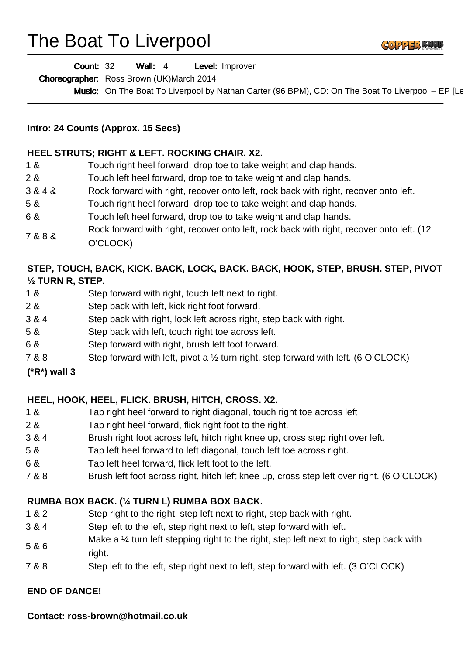# The Boat To Liverpool



Wall: 4 Level: Improver Count: 32

Choreographer: Ross Brown (UK)March 2014

Music: On The Boat To Liverpool by Nathan Carter (96 BPM), CD: On The Boat To Liverpool – EP [Le

#### **Intro: 24 Counts (Approx. 15 Secs)**

#### **HEEL STRUTS; RIGHT & LEFT. ROCKING CHAIR. X2.**

1 & Touch right heel forward, drop toe to take weight and clap hands. 2 & Touch left heel forward, drop toe to take weight and clap hands. 3 & 4 & Rock forward with right, recover onto left, rock back with right, recover onto left. 5 & Touch right heel forward, drop toe to take weight and clap hands. 6 & Touch left heel forward, drop toe to take weight and clap hands. 7 & 8 & Rock forward with right, recover onto left, rock back with right, recover onto left. (12 O'CLOCK)

### **STEP, TOUCH, BACK, KICK. BACK, LOCK, BACK. BACK, HOOK, STEP, BRUSH. STEP, PIVOT ½ TURN R, STEP.**

- 1 & Step forward with right, touch left next to right.
- 2 & Step back with left, kick right foot forward.
- 3 & 4 Step back with right, lock left across right, step back with right.
- 5 & Step back with left, touch right toe across left.
- 6 & Step forward with right, brush left foot forward.
- 7 & 8 Step forward with left, pivot a ½ turn right, step forward with left. (6 O'CLOCK)

#### **(\*R\*) wall 3**

## **HEEL, HOOK, HEEL, FLICK. BRUSH, HITCH, CROSS. X2.**

- 1 & Tap right heel forward to right diagonal, touch right toe across left
- 2 & Tap right heel forward, flick right foot to the right.
- 3 & 4 Brush right foot across left, hitch right knee up, cross step right over left.
- 5 & Tap left heel forward to left diagonal, touch left toe across right.
- 6 & Tap left heel forward, flick left foot to the left.
- 7 & 8 Brush left foot across right, hitch left knee up, cross step left over right. (6 O'CLOCK)

## **RUMBA BOX BACK. (¼ TURN L) RUMBA BOX BACK.**

- 1 & 2 Step right to the right, step left next to right, step back with right.
- 3 & 4 Step left to the left, step right next to left, step forward with left.
- 5 & 6 Make a 1/4 turn left stepping right to the right, step left next to right, step back with right.
- 7 & 8 Step left to the left, step right next to left, step forward with left. (3 O'CLOCK)

#### **END OF DANCE!**

**Contact: ross-brown@hotmail.co.uk**